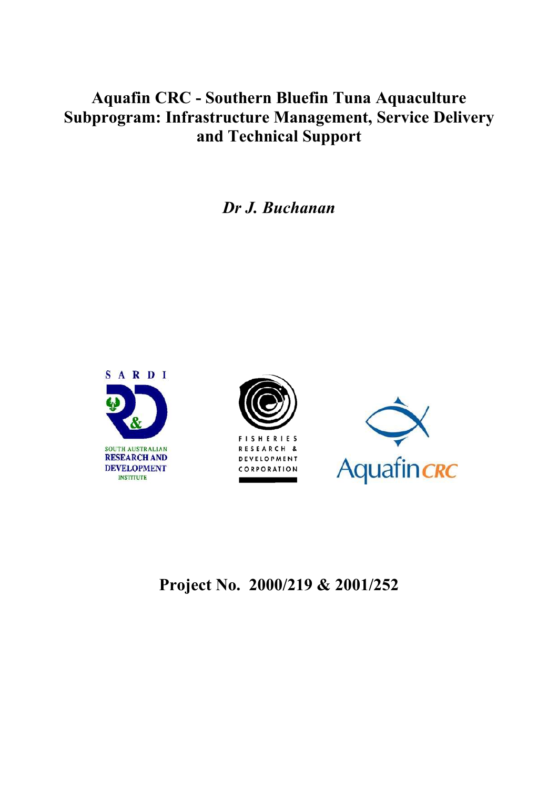# Aquafin CRC - Southern Bluefin Tuna Aquaculture Subprogram: Infrastructure Management, Service Delivery and Technical Support

Dr J. Buchanan







# Project No. 2000/219 & 2001/252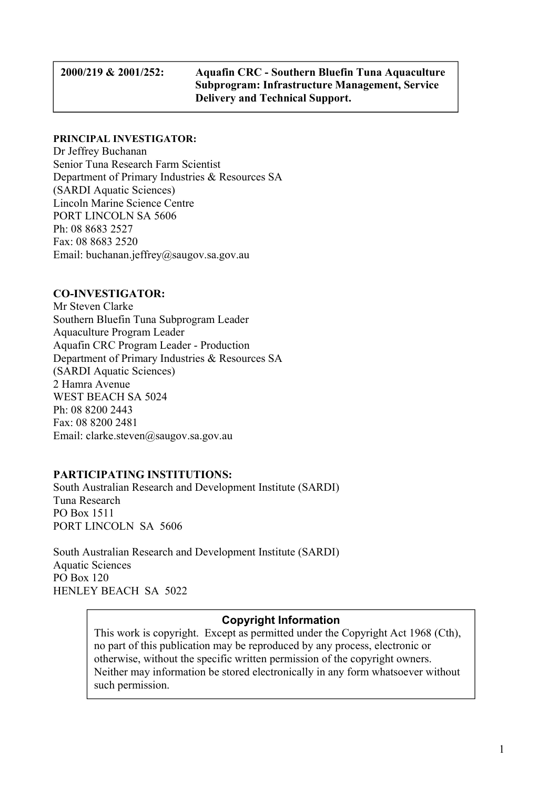## 2000/219 & 2001/252: Aquafin CRC - Southern Bluefin Tuna Aquaculture Subprogram: Infrastructure Management, Service Delivery and Technical Support.

## PRINCIPAL INVESTIGATOR:

Dr Jeffrey Buchanan Senior Tuna Research Farm Scientist Department of Primary Industries & Resources SA (SARDI Aquatic Sciences) Lincoln Marine Science Centre PORT LINCOLN SA 5606 Ph: 08 8683 2527 Fax: 08 8683 2520 Email: buchanan.jeffrey@saugov.sa.gov.au

#### CO-INVESTIGATOR:

Mr Steven Clarke Southern Bluefin Tuna Subprogram Leader Aquaculture Program Leader Aquafin CRC Program Leader - Production Department of Primary Industries & Resources SA (SARDI Aquatic Sciences) 2 Hamra Avenue WEST BEACH SA 5024 Ph: 08 8200 2443 Fax: 08 8200 2481 Email: clarke.steven@saugov.sa.gov.au

#### PARTICIPATING INSTITUTIONS:

South Australian Research and Development Institute (SARDI) Tuna Research PO Box 1511 PORT LINCOLN SA 5606

South Australian Research and Development Institute (SARDI) Aquatic Sciences PO Box 120 HENLEY BEACH SA 5022

#### Copyright Information

This work is copyright. Except as permitted under the Copyright Act 1968 (Cth), no part of this publication may be reproduced by any process, electronic or otherwise, without the specific written permission of the copyright owners. Neither may information be stored electronically in any form whatsoever without such permission.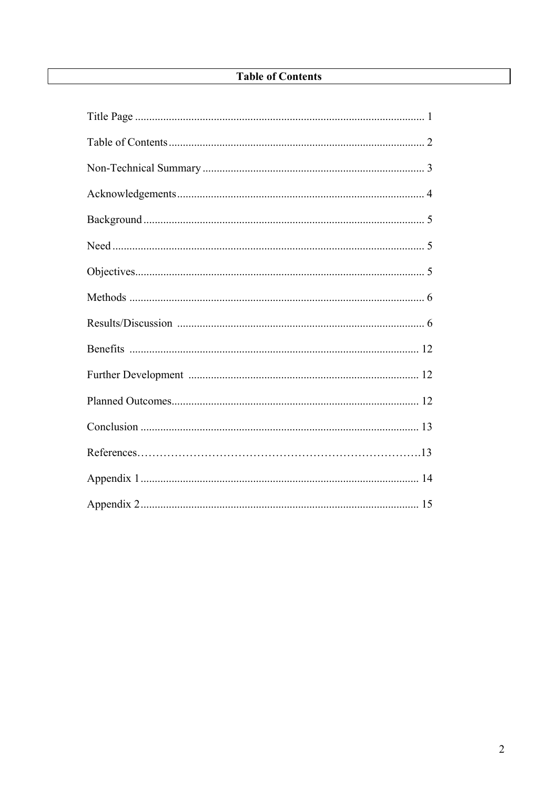# **Table of Contents**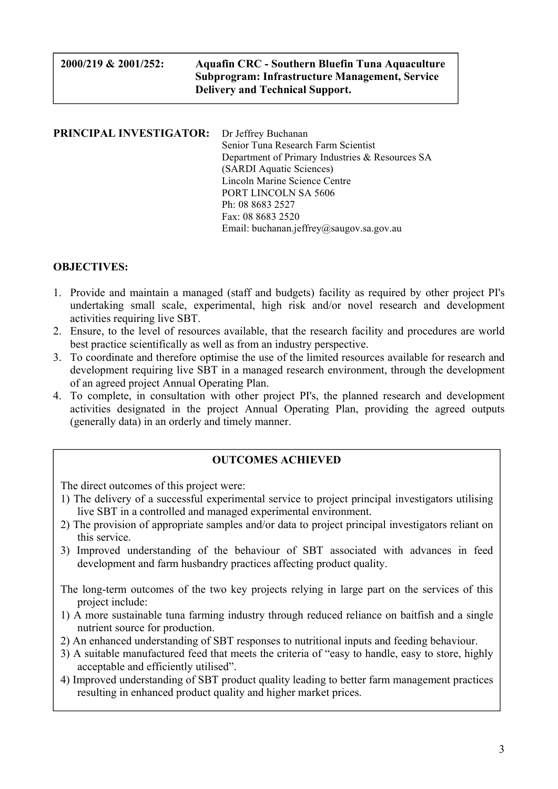## 2000/219 & 2001/252: Aquafin CRC - Southern Bluefin Tuna Aquaculture Subprogram: Infrastructure Management, Service Delivery and Technical Support.

#### PRINCIPAL INVESTIGATOR: Dr Jeffrey Buchanan

Senior Tuna Research Farm Scientist Department of Primary Industries & Resources SA (SARDI Aquatic Sciences) Lincoln Marine Science Centre PORT LINCOLN SA 5606 Ph: 08 8683 2527 Fax: 08 8683 2520 Email: buchanan.jeffrey@saugov.sa.gov.au

## OBJECTIVES:

- 1. Provide and maintain a managed (staff and budgets) facility as required by other project PI's undertaking small scale, experimental, high risk and/or novel research and development activities requiring live SBT.
- 2. Ensure, to the level of resources available, that the research facility and procedures are world best practice scientifically as well as from an industry perspective.
- 3. To coordinate and therefore optimise the use of the limited resources available for research and development requiring live SBT in a managed research environment, through the development of an agreed project Annual Operating Plan.
- 4. To complete, in consultation with other project PI's, the planned research and development activities designated in the project Annual Operating Plan, providing the agreed outputs (generally data) in an orderly and timely manner.

# OUTCOMES ACHIEVED

The direct outcomes of this project were:

- 1) The delivery of a successful experimental service to project principal investigators utilising live SBT in a controlled and managed experimental environment.
- 2) The provision of appropriate samples and/or data to project principal investigators reliant on this service.
- 3) Improved understanding of the behaviour of SBT associated with advances in feed development and farm husbandry practices affecting product quality.

The long-term outcomes of the two key projects relying in large part on the services of this project include:

- 1) A more sustainable tuna farming industry through reduced reliance on baitfish and a single nutrient source for production.
- 2) An enhanced understanding of SBT responses to nutritional inputs and feeding behaviour.
- 3) A suitable manufactured feed that meets the criteria of "easy to handle, easy to store, highly acceptable and efficiently utilised".
- 4) Improved understanding of SBT product quality leading to better farm management practices resulting in enhanced product quality and higher market prices.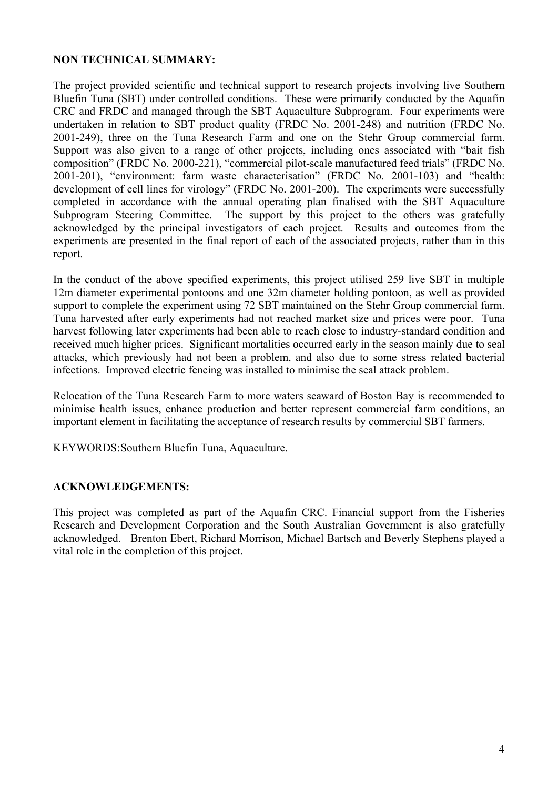# NON TECHNICAL SUMMARY:

The project provided scientific and technical support to research projects involving live Southern Bluefin Tuna (SBT) under controlled conditions. These were primarily conducted by the Aquafin CRC and FRDC and managed through the SBT Aquaculture Subprogram. Four experiments were undertaken in relation to SBT product quality (FRDC No. 2001-248) and nutrition (FRDC No. 2001-249), three on the Tuna Research Farm and one on the Stehr Group commercial farm. Support was also given to a range of other projects, including ones associated with "bait fish composition" (FRDC No. 2000-221), "commercial pilot-scale manufactured feed trials" (FRDC No. 2001-201), "environment: farm waste characterisation" (FRDC No. 2001-103) and "health: development of cell lines for virology" (FRDC No. 2001-200). The experiments were successfully completed in accordance with the annual operating plan finalised with the SBT Aquaculture Subprogram Steering Committee. The support by this project to the others was gratefully acknowledged by the principal investigators of each project. Results and outcomes from the experiments are presented in the final report of each of the associated projects, rather than in this report.

In the conduct of the above specified experiments, this project utilised 259 live SBT in multiple 12m diameter experimental pontoons and one 32m diameter holding pontoon, as well as provided support to complete the experiment using 72 SBT maintained on the Stehr Group commercial farm. Tuna harvested after early experiments had not reached market size and prices were poor. Tuna harvest following later experiments had been able to reach close to industry-standard condition and received much higher prices. Significant mortalities occurred early in the season mainly due to seal attacks, which previously had not been a problem, and also due to some stress related bacterial infections. Improved electric fencing was installed to minimise the seal attack problem.

Relocation of the Tuna Research Farm to more waters seaward of Boston Bay is recommended to minimise health issues, enhance production and better represent commercial farm conditions, an important element in facilitating the acceptance of research results by commercial SBT farmers.

KEYWORDS: Southern Bluefin Tuna, Aquaculture.

## ACKNOWLEDGEMENTS:

This project was completed as part of the Aquafin CRC. Financial support from the Fisheries Research and Development Corporation and the South Australian Government is also gratefully acknowledged. Brenton Ebert, Richard Morrison, Michael Bartsch and Beverly Stephens played a vital role in the completion of this project.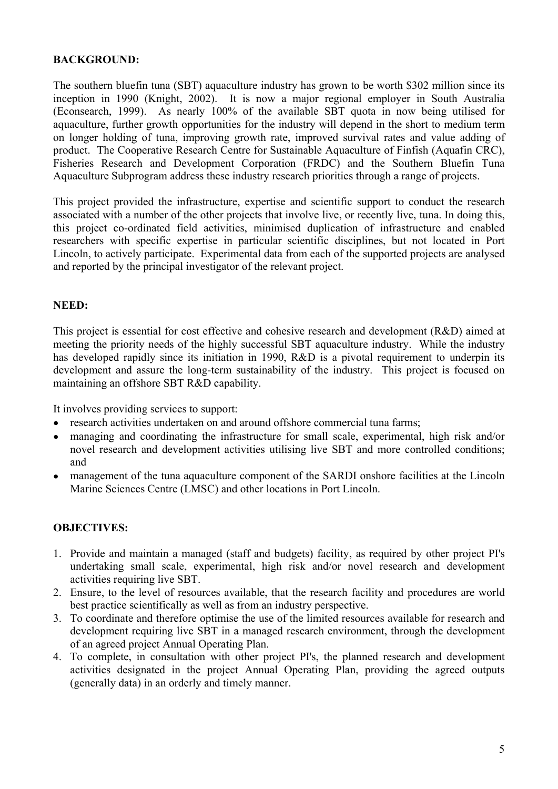## BACKGROUND:

The southern bluefin tuna (SBT) aquaculture industry has grown to be worth \$302 million since its inception in 1990 (Knight, 2002). It is now a major regional employer in South Australia (Econsearch, 1999). As nearly 100% of the available SBT quota in now being utilised for aquaculture, further growth opportunities for the industry will depend in the short to medium term on longer holding of tuna, improving growth rate, improved survival rates and value adding of product. The Cooperative Research Centre for Sustainable Aquaculture of Finfish (Aquafin CRC), Fisheries Research and Development Corporation (FRDC) and the Southern Bluefin Tuna Aquaculture Subprogram address these industry research priorities through a range of projects.

This project provided the infrastructure, expertise and scientific support to conduct the research associated with a number of the other projects that involve live, or recently live, tuna. In doing this, this project co-ordinated field activities, minimised duplication of infrastructure and enabled researchers with specific expertise in particular scientific disciplines, but not located in Port Lincoln, to actively participate. Experimental data from each of the supported projects are analysed and reported by the principal investigator of the relevant project.

## NEED:

This project is essential for cost effective and cohesive research and development (R&D) aimed at meeting the priority needs of the highly successful SBT aquaculture industry. While the industry has developed rapidly since its initiation in 1990, R&D is a pivotal requirement to underpin its development and assure the long-term sustainability of the industry. This project is focused on maintaining an offshore SBT R&D capability.

It involves providing services to support:

- research activities undertaken on and around offshore commercial tuna farms;
- managing and coordinating the infrastructure for small scale, experimental, high risk and/or novel research and development activities utilising live SBT and more controlled conditions; and
- management of the tuna aquaculture component of the SARDI onshore facilities at the Lincoln  $\bullet$ Marine Sciences Centre (LMSC) and other locations in Port Lincoln.

## OBJECTIVES:

- 1. Provide and maintain a managed (staff and budgets) facility, as required by other project PI's undertaking small scale, experimental, high risk and/or novel research and development activities requiring live SBT.
- 2. Ensure, to the level of resources available, that the research facility and procedures are world best practice scientifically as well as from an industry perspective.
- 3. To coordinate and therefore optimise the use of the limited resources available for research and development requiring live SBT in a managed research environment, through the development of an agreed project Annual Operating Plan.
- 4. To complete, in consultation with other project PI's, the planned research and development activities designated in the project Annual Operating Plan, providing the agreed outputs (generally data) in an orderly and timely manner.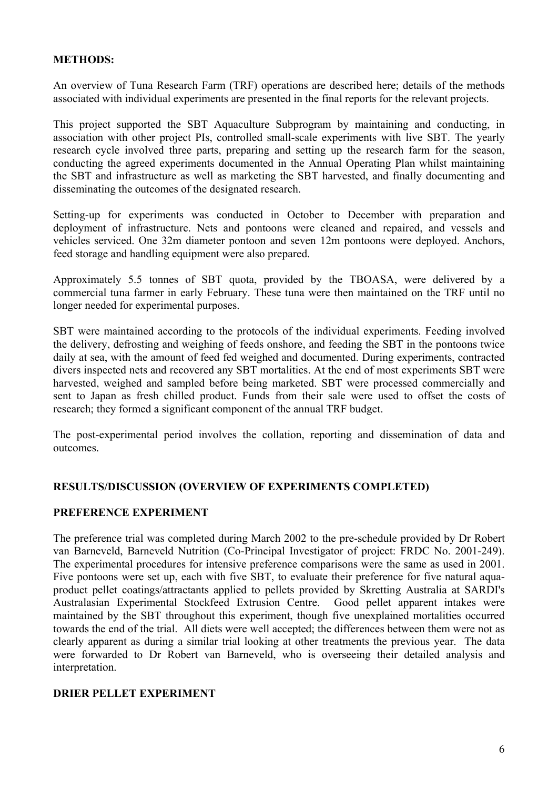# METHODS:

An overview of Tuna Research Farm (TRF) operations are described here; details of the methods associated with individual experiments are presented in the final reports for the relevant projects.

This project supported the SBT Aquaculture Subprogram by maintaining and conducting, in association with other project PIs, controlled small-scale experiments with live SBT. The yearly research cycle involved three parts, preparing and setting up the research farm for the season, conducting the agreed experiments documented in the Annual Operating Plan whilst maintaining the SBT and infrastructure as well as marketing the SBT harvested, and finally documenting and disseminating the outcomes of the designated research.

Setting-up for experiments was conducted in October to December with preparation and deployment of infrastructure. Nets and pontoons were cleaned and repaired, and vessels and vehicles serviced. One 32m diameter pontoon and seven 12m pontoons were deployed. Anchors, feed storage and handling equipment were also prepared.

Approximately 5.5 tonnes of SBT quota, provided by the TBOASA, were delivered by a commercial tuna farmer in early February. These tuna were then maintained on the TRF until no longer needed for experimental purposes.

SBT were maintained according to the protocols of the individual experiments. Feeding involved the delivery, defrosting and weighing of feeds onshore, and feeding the SBT in the pontoons twice daily at sea, with the amount of feed fed weighed and documented. During experiments, contracted divers inspected nets and recovered any SBT mortalities. At the end of most experiments SBT were harvested, weighed and sampled before being marketed. SBT were processed commercially and sent to Japan as fresh chilled product. Funds from their sale were used to offset the costs of research; they formed a significant component of the annual TRF budget.

The post-experimental period involves the collation, reporting and dissemination of data and outcomes.

## RESULTS/DISCUSSION (OVERVIEW OF EXPERIMENTS COMPLETED)

## PREFERENCE EXPERIMENT

The preference trial was completed during March 2002 to the pre-schedule provided by Dr Robert van Barneveld, Barneveld Nutrition (Co-Principal Investigator of project: FRDC No. 2001-249). The experimental procedures for intensive preference comparisons were the same as used in 2001. Five pontoons were set up, each with five SBT, to evaluate their preference for five natural aquaproduct pellet coatings/attractants applied to pellets provided by Skretting Australia at SARDI's Australasian Experimental Stockfeed Extrusion Centre. Good pellet apparent intakes were maintained by the SBT throughout this experiment, though five unexplained mortalities occurred towards the end of the trial. All diets were well accepted; the differences between them were not as clearly apparent as during a similar trial looking at other treatments the previous year. The data were forwarded to Dr Robert van Barneveld, who is overseeing their detailed analysis and interpretation.

#### DRIER PELLET EXPERIMENT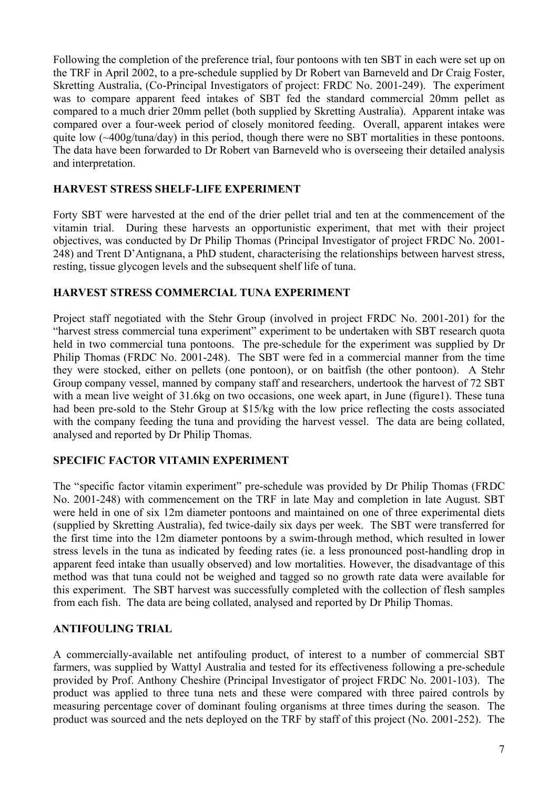Following the completion of the preference trial, four pontoons with ten SBT in each were set up on the TRF in April 2002, to a pre-schedule supplied by Dr Robert van Barneveld and Dr Craig Foster, Skretting Australia, (Co-Principal Investigators of project: FRDC No. 2001-249). The experiment was to compare apparent feed intakes of SBT fed the standard commercial 20mm pellet as compared to a much drier 20mm pellet (both supplied by Skretting Australia). Apparent intake was compared over a four-week period of closely monitored feeding. Overall, apparent intakes were quite low  $\left(\sim 400 \frac{g}{\text{tuna}}\right)$  in this period, though there were no SBT mortalities in these pontoons. The data have been forwarded to Dr Robert van Barneveld who is overseeing their detailed analysis and interpretation.

# HARVEST STRESS SHELF-LIFE EXPERIMENT

Forty SBT were harvested at the end of the drier pellet trial and ten at the commencement of the vitamin trial. During these harvests an opportunistic experiment, that met with their project objectives, was conducted by Dr Philip Thomas (Principal Investigator of project FRDC No. 2001- 248) and Trent D'Antignana, a PhD student, characterising the relationships between harvest stress, resting, tissue glycogen levels and the subsequent shelf life of tuna.

# HARVEST STRESS COMMERCIAL TUNA EXPERIMENT

Project staff negotiated with the Stehr Group (involved in project FRDC No. 2001-201) for the "harvest stress commercial tuna experiment" experiment to be undertaken with SBT research quota held in two commercial tuna pontoons. The pre-schedule for the experiment was supplied by Dr Philip Thomas (FRDC No. 2001-248). The SBT were fed in a commercial manner from the time they were stocked, either on pellets (one pontoon), or on baitfish (the other pontoon). A Stehr Group company vessel, manned by company staff and researchers, undertook the harvest of 72 SBT with a mean live weight of 31.6kg on two occasions, one week apart, in June (figure1). These tuna had been pre-sold to the Stehr Group at \$15/kg with the low price reflecting the costs associated with the company feeding the tuna and providing the harvest vessel. The data are being collated, analysed and reported by Dr Philip Thomas.

# SPECIFIC FACTOR VITAMIN EXPERIMENT

The "specific factor vitamin experiment" pre-schedule was provided by Dr Philip Thomas (FRDC No. 2001-248) with commencement on the TRF in late May and completion in late August. SBT were held in one of six 12m diameter pontoons and maintained on one of three experimental diets (supplied by Skretting Australia), fed twice-daily six days per week. The SBT were transferred for the first time into the 12m diameter pontoons by a swim-through method, which resulted in lower stress levels in the tuna as indicated by feeding rates (ie. a less pronounced post-handling drop in apparent feed intake than usually observed) and low mortalities. However, the disadvantage of this method was that tuna could not be weighed and tagged so no growth rate data were available for this experiment. The SBT harvest was successfully completed with the collection of flesh samples from each fish. The data are being collated, analysed and reported by Dr Philip Thomas.

## ANTIFOULING TRIAL

A commercially-available net antifouling product, of interest to a number of commercial SBT farmers, was supplied by Wattyl Australia and tested for its effectiveness following a pre-schedule provided by Prof. Anthony Cheshire (Principal Investigator of project FRDC No. 2001-103). The product was applied to three tuna nets and these were compared with three paired controls by measuring percentage cover of dominant fouling organisms at three times during the season. The product was sourced and the nets deployed on the TRF by staff of this project (No. 2001-252). The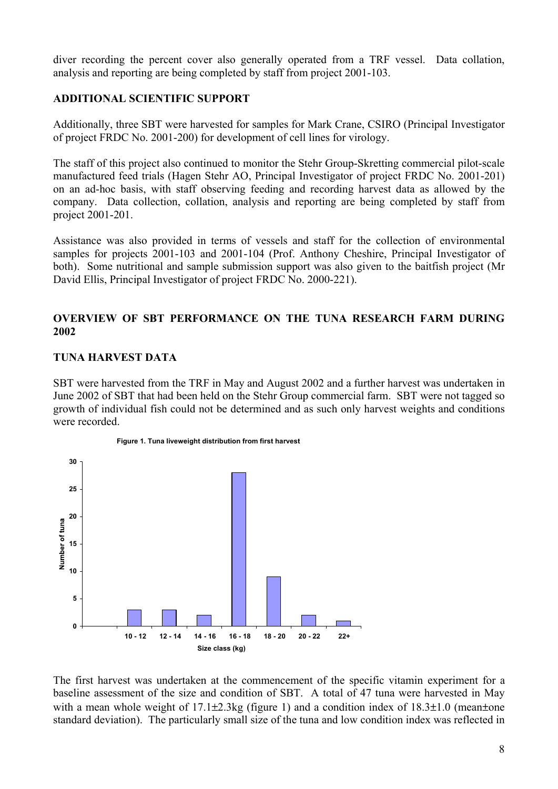diver recording the percent cover also generally operated from a TRF vessel. Data collation, analysis and reporting are being completed by staff from project 2001-103.

# ADDITIONAL SCIENTIFIC SUPPORT

Additionally, three SBT were harvested for samples for Mark Crane, CSIRO (Principal Investigator of project FRDC No. 2001-200) for development of cell lines for virology.

The staff of this project also continued to monitor the Stehr Group-Skretting commercial pilot-scale manufactured feed trials (Hagen Stehr AO, Principal Investigator of project FRDC No. 2001-201) on an ad-hoc basis, with staff observing feeding and recording harvest data as allowed by the company. Data collection, collation, analysis and reporting are being completed by staff from project 2001-201.

Assistance was also provided in terms of vessels and staff for the collection of environmental samples for projects 2001-103 and 2001-104 (Prof. Anthony Cheshire, Principal Investigator of both). Some nutritional and sample submission support was also given to the baitfish project (Mr David Ellis, Principal Investigator of project FRDC No. 2000-221).

# OVERVIEW OF SBT PERFORMANCE ON THE TUNA RESEARCH FARM DURING 2002

# TUNA HARVEST DATA

SBT were harvested from the TRF in May and August 2002 and a further harvest was undertaken in June 2002 of SBT that had been held on the Stehr Group commercial farm. SBT were not tagged so growth of individual fish could not be determined and as such only harvest weights and conditions were recorded.



The first harvest was undertaken at the commencement of the specific vitamin experiment for a baseline assessment of the size and condition of SBT. A total of 47 tuna were harvested in May with a mean whole weight of  $17.1 \pm 2.3$  kg (figure 1) and a condition index of  $18.3 \pm 1.0$  (mean  $\pm$ one standard deviation). The particularly small size of the tuna and low condition index was reflected in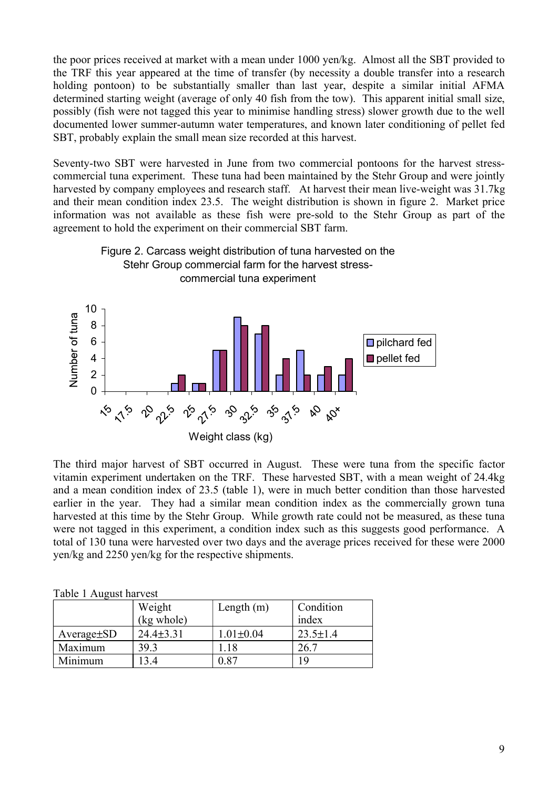the poor prices received at market with a mean under 1000 yen/kg. Almost all the SBT provided to the TRF this year appeared at the time of transfer (by necessity a double transfer into a research holding pontoon) to be substantially smaller than last year, despite a similar initial AFMA determined starting weight (average of only 40 fish from the tow). This apparent initial small size, possibly (fish were not tagged this year to minimise handling stress) slower growth due to the well documented lower summer-autumn water temperatures, and known later conditioning of pellet fed SBT, probably explain the small mean size recorded at this harvest.

Seventy-two SBT were harvested in June from two commercial pontoons for the harvest stresscommercial tuna experiment. These tuna had been maintained by the Stehr Group and were jointly harvested by company employees and research staff. At harvest their mean live-weight was 31.7kg and their mean condition index 23.5. The weight distribution is shown in figure 2. Market price information was not available as these fish were pre-sold to the Stehr Group as part of the agreement to hold the experiment on their commercial SBT farm.



The third major harvest of SBT occurred in August. These were tuna from the specific factor vitamin experiment undertaken on the TRF. These harvested SBT, with a mean weight of 24.4kg and a mean condition index of 23.5 (table 1), were in much better condition than those harvested earlier in the year. They had a similar mean condition index as the commercially grown tuna harvested at this time by the Stehr Group. While growth rate could not be measured, as these tuna were not tagged in this experiment, a condition index such as this suggests good performance. A total of 130 tuna were harvested over two days and the average prices received for these were 2000 yen/kg and 2250 yen/kg for the respective shipments.

| Table 1 August harvest |  |  |
|------------------------|--|--|
|------------------------|--|--|

|                  | Weight          | Length $(m)$    | Condition      |
|------------------|-----------------|-----------------|----------------|
|                  | (kg whole)      |                 | index          |
| $Average \pm SD$ | $24.4 \pm 3.31$ | $1.01 \pm 0.04$ | $23.5 \pm 1.4$ |
| Maximum          | 39.3            | 1.18            | 26.7           |
| Minimum          | 3.4             | 0 87            | 19             |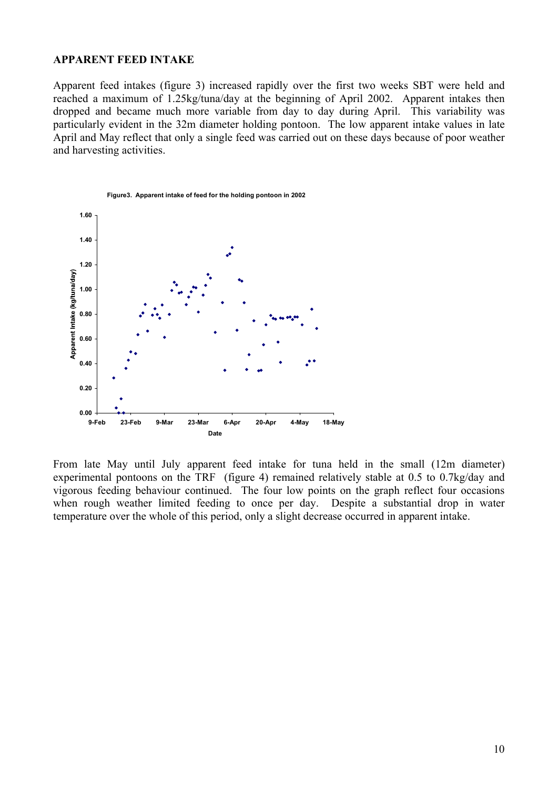#### APPARENT FEED INTAKE

Apparent feed intakes (figure 3) increased rapidly over the first two weeks SBT were held and reached a maximum of 1.25kg/tuna/day at the beginning of April 2002. Apparent intakes then dropped and became much more variable from day to day during April. This variability was particularly evident in the 32m diameter holding pontoon. The low apparent intake values in late April and May reflect that only a single feed was carried out on these days because of poor weather and harvesting activities.



From late May until July apparent feed intake for tuna held in the small (12m diameter) experimental pontoons on the TRF (figure 4) remained relatively stable at 0.5 to 0.7kg/day and vigorous feeding behaviour continued. The four low points on the graph reflect four occasions when rough weather limited feeding to once per day. Despite a substantial drop in water temperature over the whole of this period, only a slight decrease occurred in apparent intake.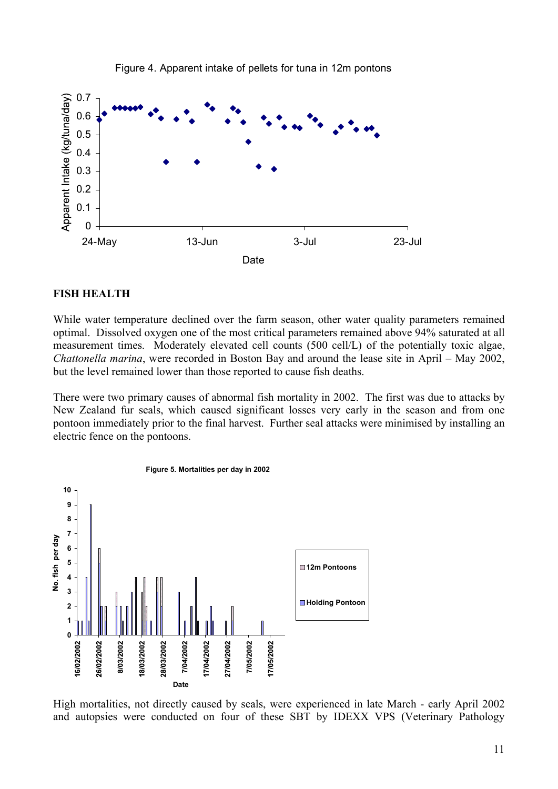

#### Figure 4. Apparent intake of pellets for tuna in 12m pontons

#### FISH HEALTH

While water temperature declined over the farm season, other water quality parameters remained optimal. Dissolved oxygen one of the most critical parameters remained above 94% saturated at all measurement times. Moderately elevated cell counts (500 cell/L) of the potentially toxic algae, *Chattonella marina*, were recorded in Boston Bay and around the lease site in April  $-$  May 2002, but the level remained lower than those reported to cause fish deaths.

There were two primary causes of abnormal fish mortality in 2002. The first was due to attacks by New Zealand fur seals, which caused significant losses very early in the season and from one pontoon immediately prior to the final harvest. Further seal attacks were minimised by installing an electric fence on the pontoons.



High mortalities, not directly caused by seals, were experienced in late March - early April 2002 and autopsies were conducted on four of these SBT by IDEXX VPS (Veterinary Pathology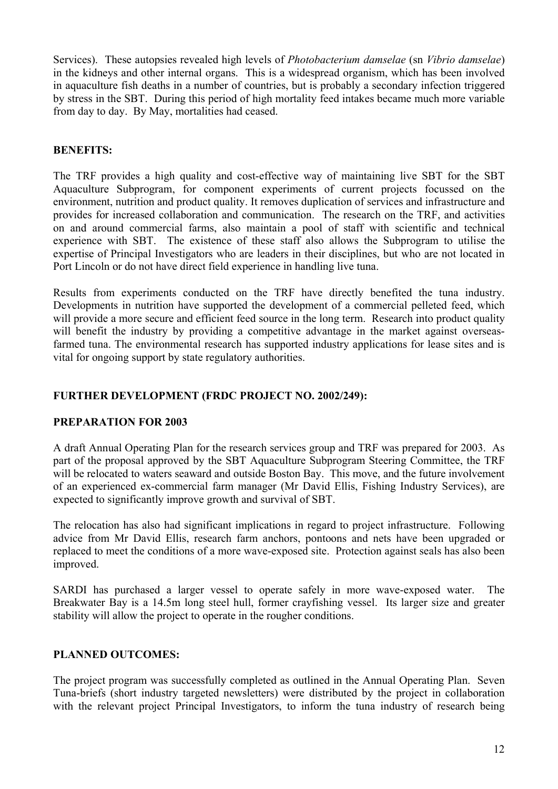Services). These autopsies revealed high levels of *Photobacterium damselae* (sn *Vibrio damselae*) in the kidneys and other internal organs. This is a widespread organism, which has been involved in aquaculture fish deaths in a number of countries, but is probably a secondary infection triggered by stress in the SBT. During this period of high mortality feed intakes became much more variable from day to day. By May, mortalities had ceased.

# BENEFITS:

The TRF provides a high quality and cost-effective way of maintaining live SBT for the SBT Aquaculture Subprogram, for component experiments of current projects focussed on the environment, nutrition and product quality. It removes duplication of services and infrastructure and provides for increased collaboration and communication. The research on the TRF, and activities on and around commercial farms, also maintain a pool of staff with scientific and technical experience with SBT. The existence of these staff also allows the Subprogram to utilise the expertise of Principal Investigators who are leaders in their disciplines, but who are not located in Port Lincoln or do not have direct field experience in handling live tuna.

Results from experiments conducted on the TRF have directly benefited the tuna industry. Developments in nutrition have supported the development of a commercial pelleted feed, which will provide a more secure and efficient feed source in the long term. Research into product quality will benefit the industry by providing a competitive advantage in the market against overseasfarmed tuna. The environmental research has supported industry applications for lease sites and is vital for ongoing support by state regulatory authorities.

# FURTHER DEVELOPMENT (FRDC PROJECT NO. 2002/249):

## PREPARATION FOR 2003

A draft Annual Operating Plan for the research services group and TRF was prepared for 2003. As part of the proposal approved by the SBT Aquaculture Subprogram Steering Committee, the TRF will be relocated to waters seaward and outside Boston Bay. This move, and the future involvement of an experienced ex-commercial farm manager (Mr David Ellis, Fishing Industry Services), are expected to significantly improve growth and survival of SBT.

The relocation has also had significant implications in regard to project infrastructure. Following advice from Mr David Ellis, research farm anchors, pontoons and nets have been upgraded or replaced to meet the conditions of a more wave-exposed site. Protection against seals has also been improved.

SARDI has purchased a larger vessel to operate safely in more wave-exposed water. The Breakwater Bay is a 14.5m long steel hull, former crayfishing vessel. Its larger size and greater stability will allow the project to operate in the rougher conditions.

## PLANNED OUTCOMES:

The project program was successfully completed as outlined in the Annual Operating Plan. Seven Tuna-briefs (short industry targeted newsletters) were distributed by the project in collaboration with the relevant project Principal Investigators, to inform the tuna industry of research being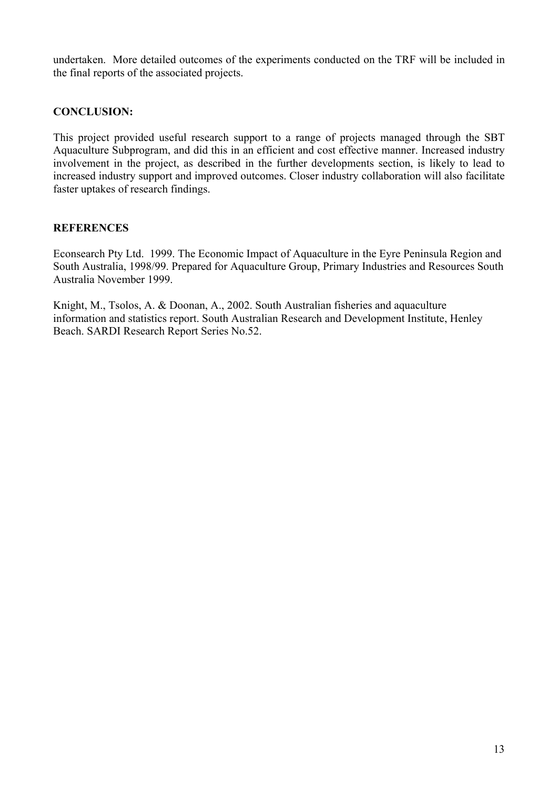undertaken. More detailed outcomes of the experiments conducted on the TRF will be included in the final reports of the associated projects.

# CONCLUSION:

This project provided useful research support to a range of projects managed through the SBT Aquaculture Subprogram, and did this in an efficient and cost effective manner. Increased industry involvement in the project, as described in the further developments section, is likely to lead to increased industry support and improved outcomes. Closer industry collaboration will also facilitate faster uptakes of research findings.

# **REFERENCES**

Econsearch Pty Ltd. 1999. The Economic Impact of Aquaculture in the Eyre Peninsula Region and South Australia, 1998/99. Prepared for Aquaculture Group, Primary Industries and Resources South Australia November 1999.

Knight, M., Tsolos, A. & Doonan, A., 2002. South Australian fisheries and aquaculture information and statistics report. South Australian Research and Development Institute, Henley Beach. SARDI Research Report Series No.52.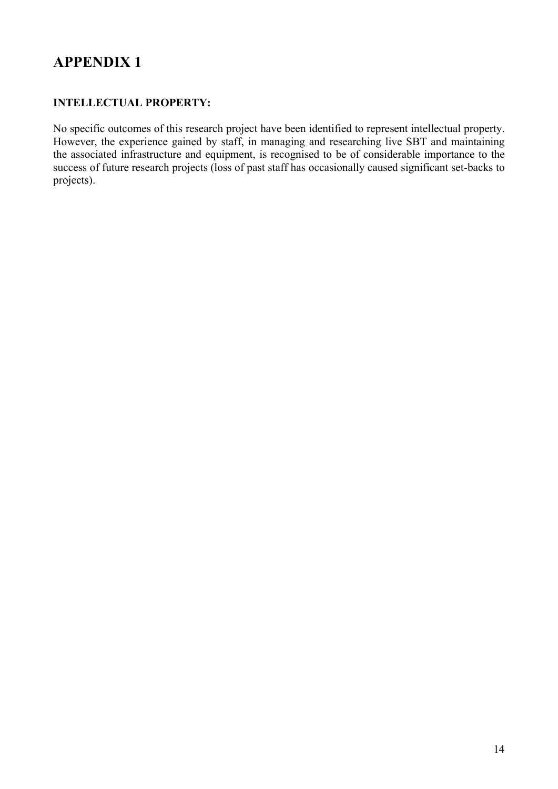# APPENDIX 1

# INTELLECTUAL PROPERTY:

No specific outcomes of this research project have been identified to represent intellectual property. However, the experience gained by staff, in managing and researching live SBT and maintaining the associated infrastructure and equipment, is recognised to be of considerable importance to the success of future research projects (loss of past staff has occasionally caused significant set-backs to projects).